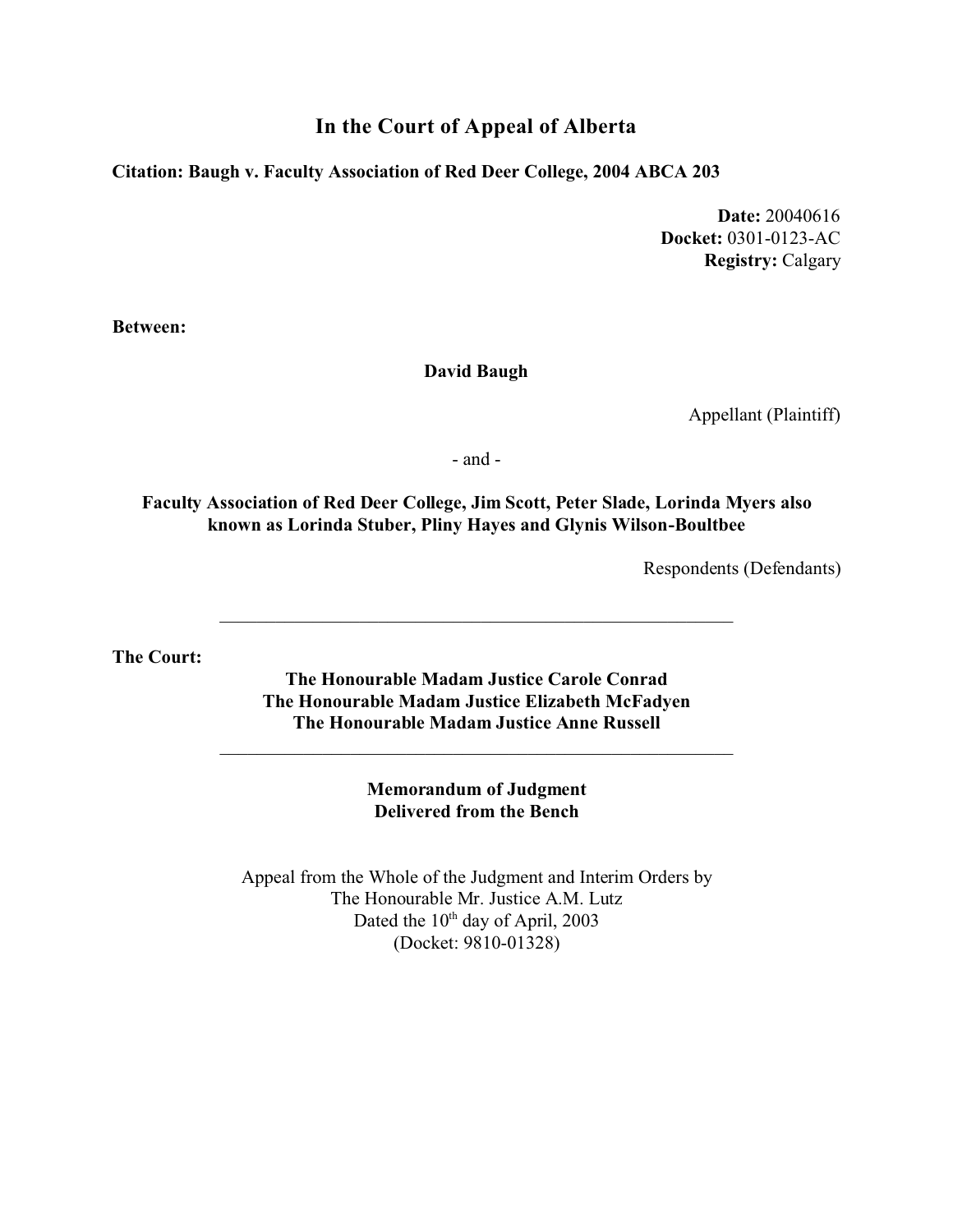## **In the Court of Appeal of Alberta**

#### **Citation: Baugh v. Faculty Association of Red Deer College, 2004 ABCA 203**

**Date:** 20040616 **Docket:** 0301-0123-AC **Registry:** Calgary

**Between:**

#### **David Baugh**

Appellant (Plaintiff)

- and -

### **Faculty Association of Red Deer College, Jim Scott, Peter Slade, Lorinda Myers also known as Lorinda Stuber, Pliny Hayes and Glynis Wilson-Boultbee**

Respondents (Defendants)

**The Court:**

**The Honourable Madam Justice Carole Conrad The Honourable Madam Justice Elizabeth McFadyen The Honourable Madam Justice Anne Russell**

\_\_\_\_\_\_\_\_\_\_\_\_\_\_\_\_\_\_\_\_\_\_\_\_\_\_\_\_\_\_\_\_\_\_\_\_\_\_\_\_\_\_\_\_\_\_\_\_\_\_\_\_\_\_\_

**Memorandum of Judgment Delivered from the Bench**

Appeal from the Whole of the Judgment and Interim Orders by The Honourable Mr. Justice A.M. Lutz Dated the 10<sup>th</sup> day of April, 2003 (Docket: 9810-01328)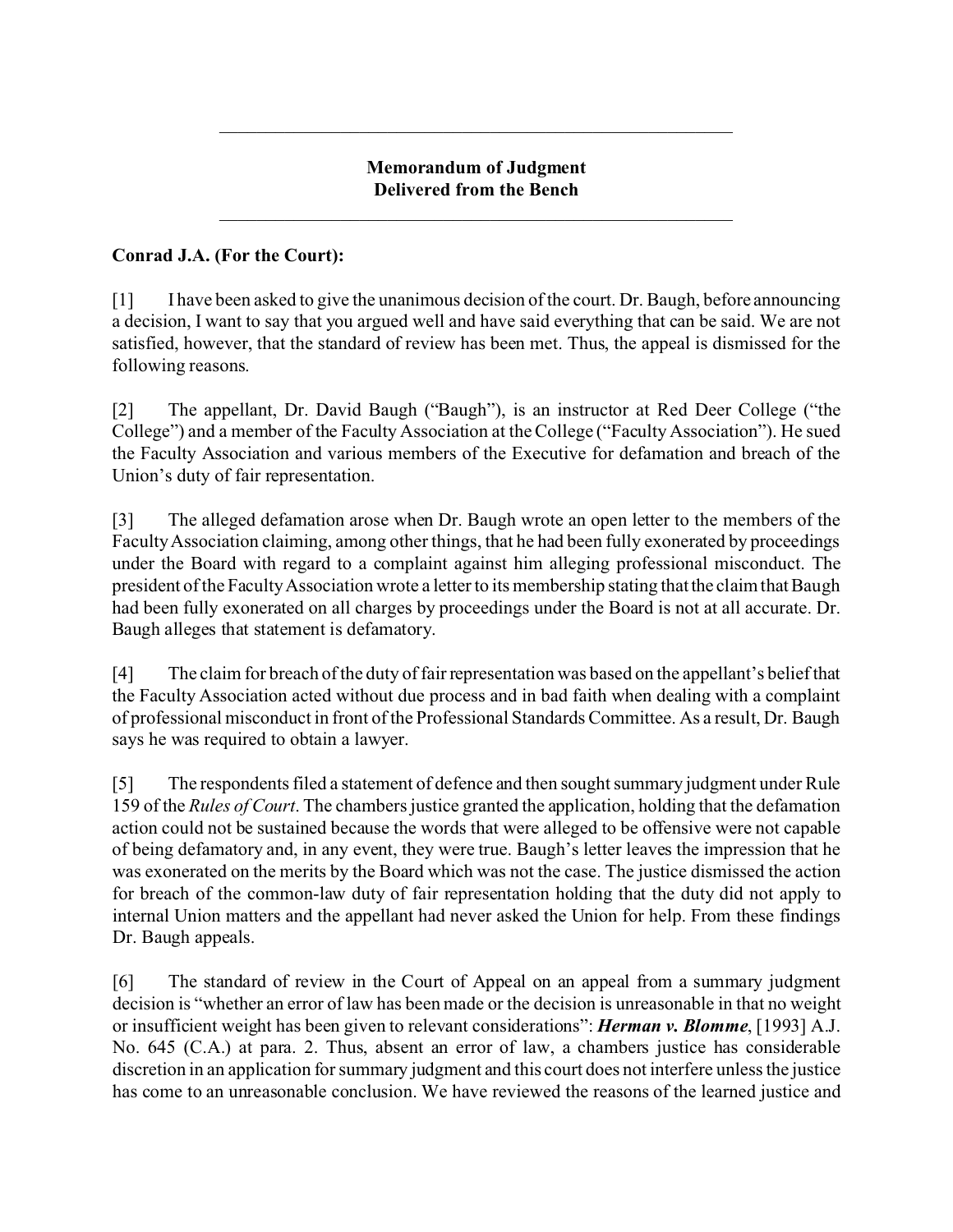### **Memorandum of Judgment Delivered from the Bench**

\_\_\_\_\_\_\_\_\_\_\_\_\_\_\_\_\_\_\_\_\_\_\_\_\_\_\_\_\_\_\_\_\_\_\_\_\_\_\_\_\_\_\_\_\_\_\_\_\_\_\_\_\_\_\_

\_\_\_\_\_\_\_\_\_\_\_\_\_\_\_\_\_\_\_\_\_\_\_\_\_\_\_\_\_\_\_\_\_\_\_\_\_\_\_\_\_\_\_\_\_\_\_\_\_\_\_\_\_\_\_

## **Conrad J.A. (For the Court):**

[1] I have been asked to give the unanimous decision of the court. Dr. Baugh, before announcing a decision, I want to say that you argued well and have said everything that can be said. We are not satisfied, however, that the standard of review has been met. Thus, the appeal is dismissed for the following reasons.

[2] The appellant, Dr. David Baugh ("Baugh"), is an instructor at Red Deer College ("the College") and a member of the Faculty Association at the College ("Faculty Association"). He sued the Faculty Association and various members of the Executive for defamation and breach of the Union's duty of fair representation.

[3] The alleged defamation arose when Dr. Baugh wrote an open letter to the members of the Faculty Association claiming, among other things, that he had been fully exonerated by proceedings under the Board with regard to a complaint against him alleging professional misconduct. The president of the Faculty Association wrote a letter to its membership stating that the claim that Baugh had been fully exonerated on all charges by proceedings under the Board is not at all accurate. Dr. Baugh alleges that statement is defamatory.

[4] The claim for breach of the duty of fair representation was based on the appellant's belief that the Faculty Association acted without due process and in bad faith when dealing with a complaint of professional misconduct in front of the Professional Standards Committee. As a result, Dr. Baugh says he was required to obtain a lawyer.

[5] The respondents filed a statement of defence and then sought summary judgment under Rule 159 of the *Rules of Court*. The chambers justice granted the application, holding that the defamation action could not be sustained because the words that were alleged to be offensive were not capable of being defamatory and, in any event, they were true. Baugh's letter leaves the impression that he was exonerated on the merits by the Board which was not the case. The justice dismissed the action for breach of the common-law duty of fair representation holding that the duty did not apply to internal Union matters and the appellant had never asked the Union for help. From these findings Dr. Baugh appeals.

[6] The standard of review in the Court of Appeal on an appeal from a summary judgment decision is "whether an error of law has been made or the decision is unreasonable in that no weight or insufficient weight has been given to relevant considerations": *Herman v. Blomme*, [1993] A.J. No. 645 (C.A.) at para. 2. Thus, absent an error of law, a chambers justice has considerable discretion in an application for summary judgment and this court does not interfere unless the justice has come to an unreasonable conclusion. We have reviewed the reasons of the learned justice and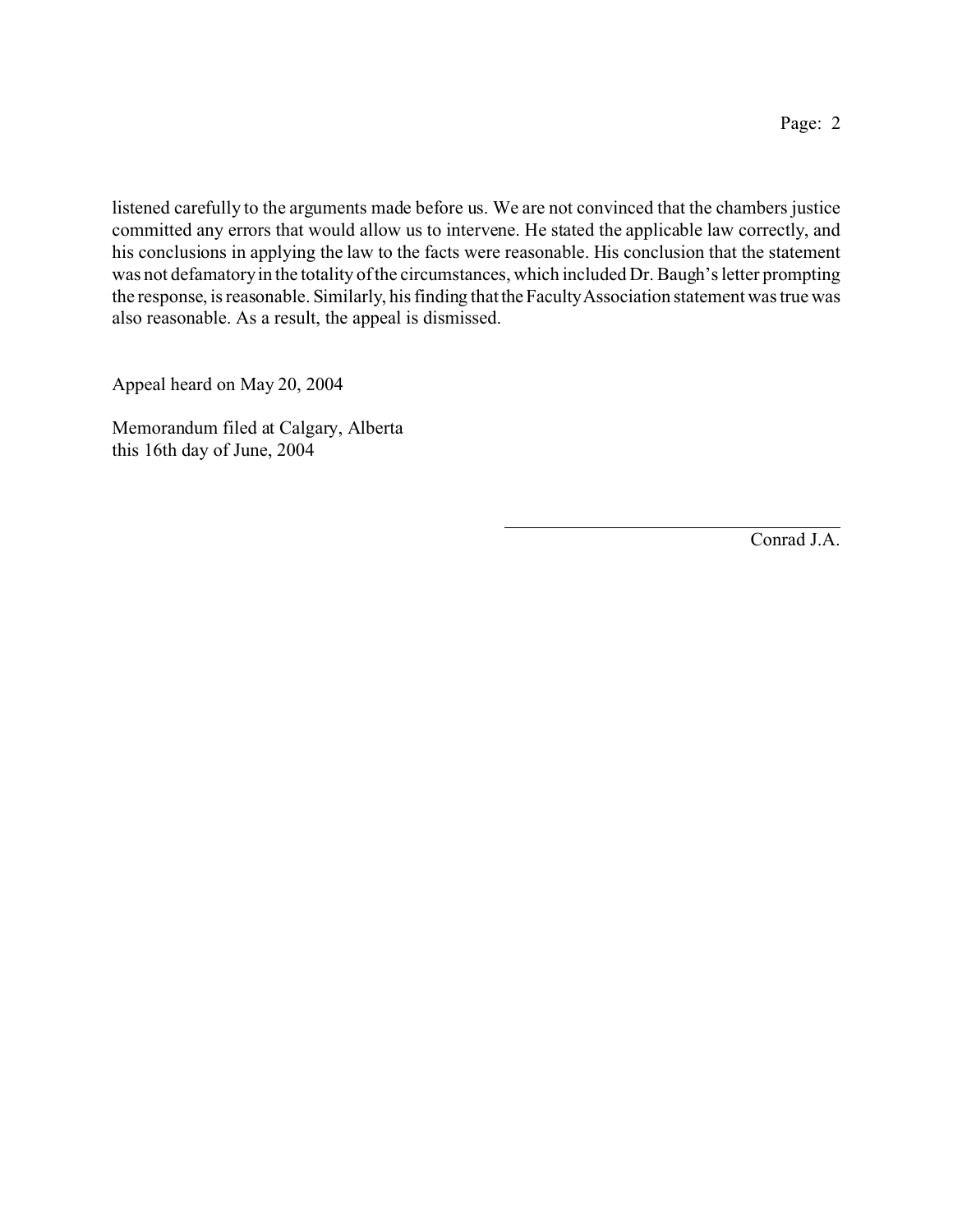listened carefully to the arguments made before us. We are not convinced that the chambers justice committed any errors that would allow us to intervene. He stated the applicable law correctly, and his conclusions in applying the law to the facts were reasonable. His conclusion that the statement was not defamatory in the totality of the circumstances, which included Dr. Baugh's letter prompting the response, is reasonable. Similarly, his finding that the Faculty Association statement was true was also reasonable. As a result, the appeal is dismissed.

Appeal heard on May 20, 2004

Memorandum filed at Calgary, Alberta this 16th day of June, 2004

Conrad J.A.